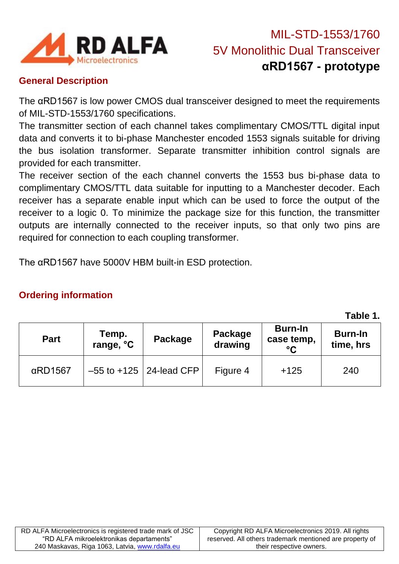

# MIL-STD-1553/1760 5V Monolithic Dual Transceiver **αRD1567 - prototype**

#### **General Description**

The αRD1567 is low power CMOS dual transceiver designed to meet the requirements of MIL-STD-1553/1760 specifications.

The transmitter section of each channel takes complimentary CMOS/TTL digital input data and converts it to bi-phase Manchester encoded 1553 signals suitable for driving the bus isolation transformer. Separate transmitter inhibition control signals are provided for each transmitter.

The receiver section of the each channel converts the 1553 bus bi-phase data to complimentary CMOS/TTL data suitable for inputting to a Manchester decoder. Each receiver has a separate enable input which can be used to force the output of the receiver to a logic 0. To minimize the package size for this function, the transmitter outputs are internally connected to the receiver inputs, so that only two pins are required for connection to each coupling transformer.

The αRD1567 have 5000V HBM built-in ESD protection.

#### **Ordering information**

**Table 1.**

| <b>Part</b>     | Temp.<br>range, °C | Package                       | Package<br>drawing | <b>Burn-In</b><br>case temp,<br>$\rm ^{\circ}C$ | <b>Burn-In</b><br>time, hrs |
|-----------------|--------------------|-------------------------------|--------------------|-------------------------------------------------|-----------------------------|
| $\alpha$ RD1567 |                    | $-55$ to $+125$   24-lead CFP | Figure 4           | $+125$                                          | 240                         |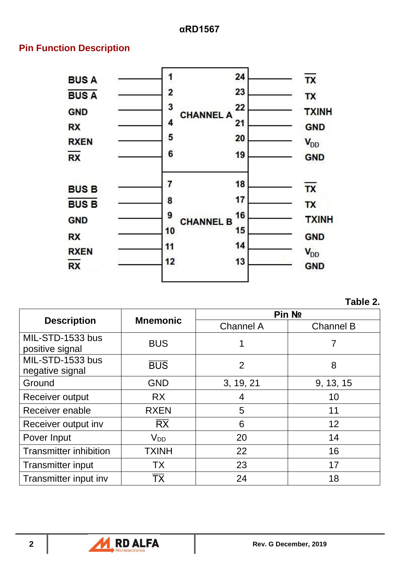#### **Pin Function Description**



**Table 2.**

|                                     | <b>Mnemonic</b>          | Pin No           |                  |  |
|-------------------------------------|--------------------------|------------------|------------------|--|
| <b>Description</b>                  |                          | <b>Channel A</b> | <b>Channel B</b> |  |
| MIL-STD-1533 bus<br>positive signal | <b>BUS</b>               | 1                |                  |  |
| MIL-STD-1533 bus<br>negative signal | <b>BUS</b>               | 2                | 8                |  |
| Ground                              | <b>GND</b>               | 3, 19, 21        | 9, 13, 15        |  |
| Receiver output                     | <b>RX</b>                | 4                | 10               |  |
| Receiver enable                     | <b>RXEN</b>              | 5                | 11               |  |
| Receiver output inv                 | $\overline{\mathsf{RX}}$ | 6                | 12               |  |
| Pover Input                         | V <sub>DD</sub>          | 20               | 14               |  |
| <b>Transmitter inhibition</b>       | <b>TXINH</b>             | 22               | 16               |  |
| <b>Transmitter input</b>            | <b>TX</b>                | 23               | 17               |  |
| Transmitter input inv               | ТX                       | 24               | 18               |  |

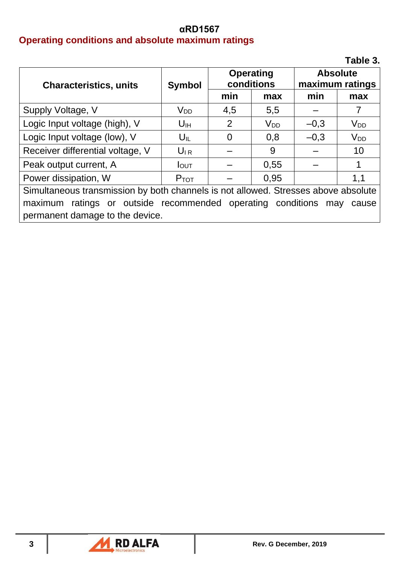#### **αRD1567 Operating conditions and absolute maximum ratings**

|                                                                                    |                   |                                |          |                                    | Table 3.        |
|------------------------------------------------------------------------------------|-------------------|--------------------------------|----------|------------------------------------|-----------------|
| <b>Characteristics, units</b>                                                      | <b>Symbol</b>     | <b>Operating</b><br>conditions |          | <b>Absolute</b><br>maximum ratings |                 |
|                                                                                    |                   | min                            | max      | min                                | max             |
| Supply Voltage, V                                                                  | $V_{DD}$          | 4,5                            | 5,5      |                                    |                 |
| Logic Input voltage (high), V                                                      | U <sub>IH</sub>   | 2                              | $V_{DD}$ | $-0,3$                             | $V_{DD}$        |
| Logic Input voltage (low), V                                                       | $U_{\mathsf{IL}}$ | 0                              | 0,8      | $-0,3$                             | V <sub>DD</sub> |
| Receiver differential voltage, V                                                   | $U_{IR}$          |                                | 9        |                                    | 10              |
| Peak output current, A                                                             | $I_{\text{OUT}}$  |                                | 0,55     |                                    | 1               |
| Power dissipation, W                                                               | $P_{TOT}$         |                                | 0,95     |                                    | 1,1             |
| Simultaneous transmission by both channels is not allowed. Stresses above absolute |                   |                                |          |                                    |                 |
| ratings or outside recommended operating conditions<br>maximum<br>may<br>cause     |                   |                                |          |                                    |                 |
| permanent damage to the device.                                                    |                   |                                |          |                                    |                 |

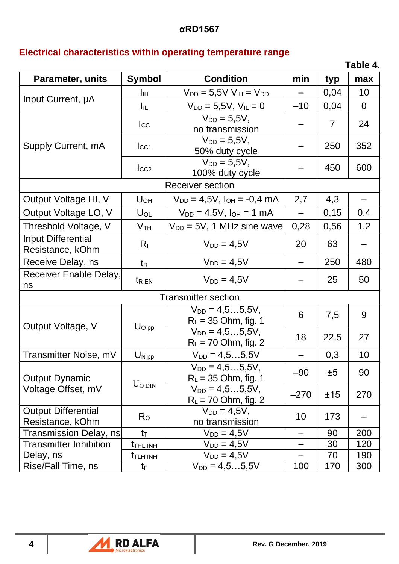#### **αRD1567**

## **Electrical characteristics within operating temperature range**

**Table 4.**

| Parameter, units                               | <b>Symbol</b>                       | <b>Condition</b>                                | min    | typ            | max            |  |  |
|------------------------------------------------|-------------------------------------|-------------------------------------------------|--------|----------------|----------------|--|--|
|                                                | Īш                                  | $V_{DD} = 5,5V V_{IH} = V_{DD}$                 |        | 0,04           | 10             |  |  |
| Input Current, µA                              | Iıl.                                | $V_{DD} = 5.5V$ , $V_{IL} = 0$                  | $-10$  | 0,04           | $\overline{0}$ |  |  |
|                                                | $I_{\rm CC}$                        | $V_{DD} = 5.5V$ ,<br>no transmission            |        | $\overline{7}$ | 24             |  |  |
| Supply Current, mA                             | $_{\text{LCA}}$                     | $V_{DD} = 5.5V,$<br>50% duty cycle              |        | 250            | 352            |  |  |
|                                                | $_{\text{LCC2}}$                    | $V_{DD} = 5.5V,$<br>100% duty cycle             |        | 450            | 600            |  |  |
|                                                |                                     | <b>Receiver section</b>                         |        |                |                |  |  |
| Output Voltage HI, V                           | U <sub>OH</sub>                     | $V_{DD} = 4.5V$ , $I_{OH} = -0.4$ mA            | 2,7    | 4,3            |                |  |  |
| Output Voltage LO, V                           | $U_{OL}$                            | $V_{DD} = 4.5V$ , $I_{OH} = 1$ mA               |        | 0,15           | 0,4            |  |  |
| Threshold Voltage, V                           | V <sub>TH</sub>                     | $V_{DD} = 5V$ , 1 MHz sine wave                 | 0,28   | 0,56           | 1,2            |  |  |
| Input Differential<br>Resistance, kOhm         | $R_{I}$                             | $V_{DD} = 4.5V$                                 | 20     | 63             |                |  |  |
| Receive Delay, ns                              | $t_{R}$                             | $V_{DD} = 4.5V$                                 |        | 250            | 480            |  |  |
| Receiver Enable Delay,<br>ns                   | <b>t</b> <sub>R</sub> <sub>EN</sub> | $V_{DD} = 4.5V$                                 |        | 25             | 50             |  |  |
|                                                | <b>Transmitter section</b>          |                                                 |        |                |                |  |  |
| Output Voltage, V                              |                                     | $V_{DD} = 4.55.5V,$<br>$R_{L}$ = 35 Ohm, fig. 1 | 6      | 7,5            | 9              |  |  |
|                                                | $U_{\text{O pp}}$                   | $V_{DD} = 4, 55, 5V,$<br>$R_L$ = 70 Ohm, fig. 2 | 18     | 22,5           | 27             |  |  |
| Transmitter Noise, mV                          | $U_{N,pp}$                          | $V_{DD} = 4, 55, 5V$                            |        | 0,3            | 10             |  |  |
| <b>Output Dynamic</b>                          | $U_{O}$ DIN                         | $V_{DD} = 4, 55, 5V,$<br>$R_L = 35$ Ohm, fig. 1 | $-90$  | ±5             | 90             |  |  |
| Voltage Offset, mV                             |                                     | $V_{DD} = 4.55.5V,$<br>$R_L$ = 70 Ohm, fig. 2   | $-270$ | ±15            | 270            |  |  |
| <b>Output Differential</b><br>Resistance, kOhm | $R_{\rm O}$                         | $V_{DD} = 4.5V,$<br>no transmission             | 10     | 173            |                |  |  |
| <b>Transmission Delay, ns</b>                  | $t_{\text{T}}$                      | $V_{DD} = 4,5V$                                 |        | 90             | 200            |  |  |
| <b>Transmitter Inhibition</b>                  | <b>t</b> THL INH                    | $V_{DD} = 4.5V$                                 |        | 30             | 120            |  |  |
| Delay, ns                                      | <b>TLH INH</b>                      | $V_{DD} = 4,5V$                                 |        | 70             | 190            |  |  |
| Rise/Fall Time, ns                             | tF                                  | $V_{DD} = 4, 55, 5V$                            | 100    | 170            | 300            |  |  |

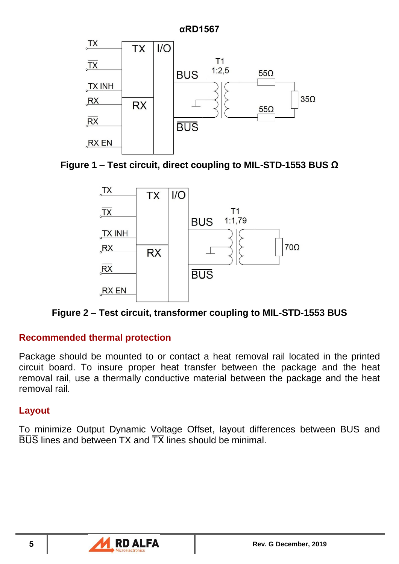

**Figure 1 – Test circuit, direct coupling to MIL-STD-1553 BUS Ω**



**Figure 2 – Test circuit, transformer coupling to MIL-STD-1553 BUS**

### **Recommended thermal protection**

Package should be mounted to or contact a heat removal rail located in the printed circuit board. To insure proper heat transfer between the package and the heat removal rail, use a thermally conductive material between the package and the heat removal rail.

#### **Layout**

To minimize Output Dynamic Voltage Offset, layout differences between BUS and  $\overline{B} \overline{U} \overline{S}$  lines and between TX and  $\overline{T} \overline{X}$  lines should be minimal.

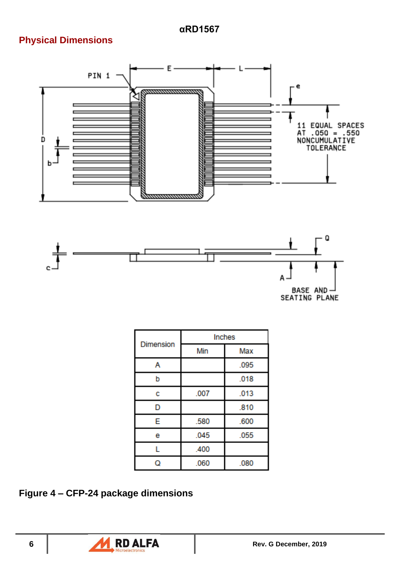## **Physical Dimensions**





|                  | Inches |      |  |  |
|------------------|--------|------|--|--|
| <b>Dimension</b> | Min    | Max  |  |  |
| А                |        | .095 |  |  |
| b                |        | .018 |  |  |
| с                | .007   | .013 |  |  |
| D                |        | .810 |  |  |
| E                | .580   | .600 |  |  |
| е                | .045   | .055 |  |  |
| г                | .400   |      |  |  |
| ۵                | .060   | .080 |  |  |

**Figure 4 – CFP-24 package dimensions**